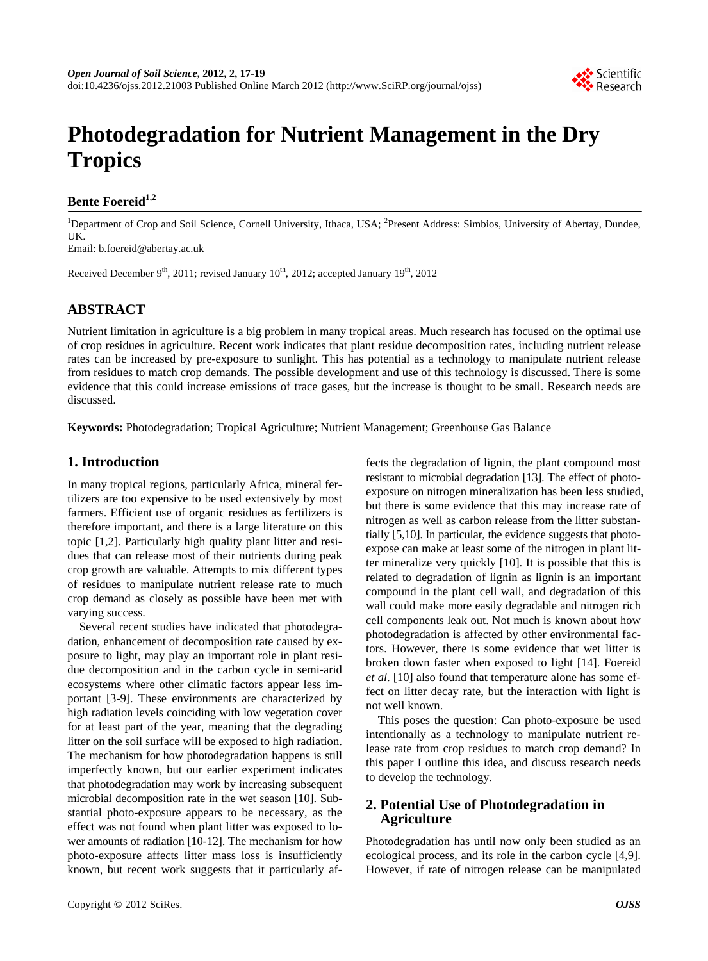

# **Photodegradation for Nutrient Management in the Dry Tropics**

## **Bente Foereid1,2**

<sup>1</sup>Department of Crop and Soil Science, Cornell University, Ithaca, USA; <sup>2</sup>Present Address: Simbios, University of Abertay, Dundee, UK.

Email: b.foereid@abertay.ac.uk

Received December 9<sup>th</sup>, 2011; revised January 10<sup>th</sup>, 2012; accepted January 19<sup>th</sup>, 2012

# **ABSTRACT**

Nutrient limitation in agriculture is a big problem in many tropical areas. Much research has focused on the optimal use of crop residues in agriculture. Recent work indicates that plant residue decomposition rates, including nutrient release rates can be increased by pre-exposure to sunlight. This has potential as a technology to manipulate nutrient release from residues to match crop demands. The possible development and use of this technology is discussed. There is some evidence that this could increase emissions of trace gases, but the increase is thought to be small. Research needs are discussed.

**Keywords:** Photodegradation; Tropical Agriculture; Nutrient Management; Greenhouse Gas Balance

## **1. Introduction**

In many tropical regions, particularly Africa, mineral fertilizers are too expensive to be used extensively by most farmers. Efficient use of organic residues as fertilizers is therefore important, and there is a large literature on this topic [1,2]. Particularly high quality plant litter and residues that can release most of their nutrients during peak crop growth are valuable. Attempts to mix different types of residues to manipulate nutrient release rate to much crop demand as closely as possible have been met with varying success.

Several recent studies have indicated that photodegradation, enhancement of decomposition rate caused by exposure to light, may play an important role in plant residue decomposition and in the carbon cycle in semi-arid ecosystems where other climatic factors appear less important [3-9]. These environments are characterized by high radiation levels coinciding with low vegetation cover for at least part of the year, meaning that the degrading litter on the soil surface will be exposed to high radiation. The mechanism for how photodegradation happens is still imperfectly known, but our earlier experiment indicates that photodegradation may work by increasing subsequent microbial decomposition rate in the wet season [10]. Substantial photo-exposure appears to be necessary, as the effect was not found when plant litter was exposed to lower amounts of radiation [10-12]. The mechanism for how photo-exposure affects litter mass loss is insufficiently known, but recent work suggests that it particularly affects the degradation of lignin, the plant compound most resistant to microbial degradation [13]. The effect of photoexposure on nitrogen mineralization has been less studied, but there is some evidence that this may increase rate of nitrogen as well as carbon release from the litter substantially [5,10]. In particular, the evidence suggests that photoexpose can make at least some of the nitrogen in plant litter mineralize very quickly [10]. It is possible that this is related to degradation of lignin as lignin is an important compound in the plant cell wall, and degradation of this wall could make more easily degradable and nitrogen rich cell components leak out. Not much is known about how photodegradation is affected by other environmental factors. However, there is some evidence that wet litter is broken down faster when exposed to light [14]. Foereid *et al*. [10] also found that temperature alone has some effect on litter decay rate, but the interaction with light is not well known.

This poses the question: Can photo-exposure be used intentionally as a technology to manipulate nutrient release rate from crop residues to match crop demand? In this paper I outline this idea, and discuss research needs to develop the technology.

## **2. Potential Use of Photodegradation in Agriculture**

Photodegradation has until now only been studied as an ecological process, and its role in the carbon cycle [4,9]. However, if rate of nitrogen release can be manipulated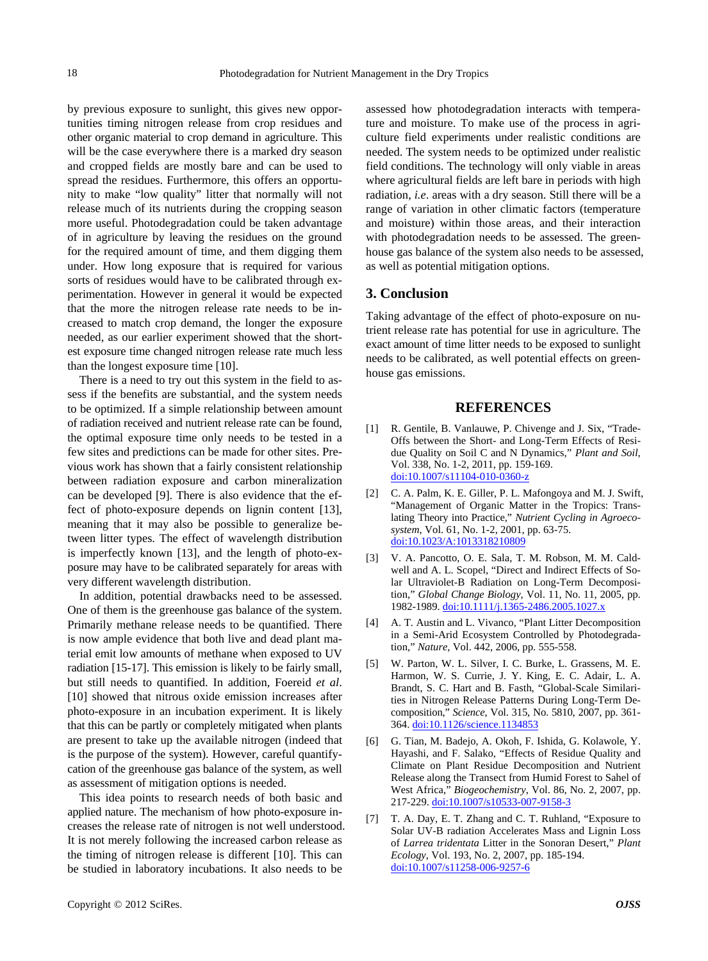by previous exposure to sunlight, this gives new opportunities timing nitrogen release from crop residues and other organic material to crop demand in agriculture. This will be the case everywhere there is a marked dry season and cropped fields are mostly bare and can be used to spread the residues. Furthermore, this offers an opportunity to make "low quality" litter that normally will not release much of its nutrients during the cropping season more useful. Photodegradation could be taken advantage of in agriculture by leaving the residues on the ground for the required amount of time, and them digging them under. How long exposure that is required for various sorts of residues would have to be calibrated through experimentation. However in general it would be expected that the more the nitrogen release rate needs to be increased to match crop demand, the longer the exposure needed, as our earlier experiment showed that the shortest exposure time changed nitrogen release rate much less than the longest exposure time [10].

There is a need to try out this system in the field to assess if the benefits are substantial, and the system needs to be optimized. If a simple relationship between amount of radiation received and nutrient release rate can be found, the optimal exposure time only needs to be tested in a few sites and predictions can be made for other sites. Previous work has shown that a fairly consistent relationship between radiation exposure and carbon mineralization can be developed [9]. There is also evidence that the effect of photo-exposure depends on lignin content [13], meaning that it may also be possible to generalize between litter types. The effect of wavelength distribution is imperfectly known [13], and the length of photo-exposure may have to be calibrated separately for areas with very different wavelength distribution.

In addition, potential drawbacks need to be assessed. One of them is the greenhouse gas balance of the system. Primarily methane release needs to be quantified. There is now ample evidence that both live and dead plant material emit low amounts of methane when exposed to UV radiation [15-17]. This emission is likely to be fairly small, but still needs to quantified. In addition, Foereid *et al*. [10] showed that nitrous oxide emission increases after photo-exposure in an incubation experiment. It is likely that this can be partly or completely mitigated when plants are present to take up the available nitrogen (indeed that is the purpose of the system). However, careful quantifycation of the greenhouse gas balance of the system, as well as assessment of mitigation options is needed.

This idea points to research needs of both basic and applied nature. The mechanism of how photo-exposure increases the release rate of nitrogen is not well understood. It is not merely following the increased carbon release as the timing of nitrogen release is different [10]. This can be studied in laboratory incubations. It also needs to be

assessed how photodegradation interacts with temperature and moisture. To make use of the process in agriculture field experiments under realistic conditions are needed. The system needs to be optimized under realistic field conditions. The technology will only viable in areas where agricultural fields are left bare in periods with high radiation, *i.e*. areas with a dry season. Still there will be a range of variation in other climatic factors (temperature and moisture) within those areas, and their interaction with photodegradation needs to be assessed. The greenhouse gas balance of the system also needs to be assessed, as well as potential mitigation options.

#### **3. Conclusion**

Taking advantage of the effect of photo-exposure on nutrient release rate has potential for use in agriculture. The exact amount of time litter needs to be exposed to sunlight needs to be calibrated, as well potential effects on greenhouse gas emissions.

#### **REFERENCES**

- [1] R. Gentile, B. Vanlauwe, P. Chivenge and J. Six, "Trade-Offs between the Short- and Long-Term Effects of Residue Quality on Soil C and N Dynamics," *Plant and Soil*, Vol. 338, No. 1-2, 2011, pp. 159-169. [doi:10.1007/s11104-010-0360-z](http://dx.doi.org/10.1007/s11104-010-0360-z)
- [2] C. A. Palm, K. E. Giller, P. L. Mafongoya and M. J. Swift, "Management of Organic Matter in the Tropics: Translating Theory into Practice," *Nutrient Cycling in Agroecosystem*, Vol. 61, No. 1-2, 2001, pp. 63-75. [doi:10.1023/A:1013318210809](http://dx.doi.org/10.1023/A:1013318210809)
- [3] V. A. Pancotto, O. E. Sala, T. M. Robson, M. M. Caldwell and A. L. Scopel, "Direct and Indirect Effects of Solar Ultraviolet-B Radiation on Long-Term Decomposition," *Global Change Biology*, Vol. 11, No. 11, 2005, pp. 1982-1989. [doi:10.1111/j.1365-2486.2005.1027.x](http://dx.doi.org/10.1111/j.1365-2486.2005.1027.x)
- [4] A. T. Austin and L. Vivanco, "Plant Litter Decomposition in a Semi-Arid Ecosystem Controlled by Photodegradation," *Nature*, Vol. 442, 2006, pp. 555-558.
- [5] W. Parton, W. L. Silver, I. C. Burke, L. Grassens, M. E. Harmon, W. S. Currie, J. Y. King, E. C. Adair, L. A. Brandt, S. C. Hart and B. Fasth, "Global-Scale Similarities in Nitrogen Release Patterns During Long-Term Decomposition," *Science*, Vol. 315, No. 5810, 2007, pp. 361- 364. [doi:10.1126/science.1134853](http://dx.doi.org/10.1126/science.1134853)
- [6] G. Tian, M. Badejo, A. Okoh, F. Ishida, G. Kolawole, Y. Hayashi, and F. Salako, "Effects of Residue Quality and Climate on Plant Residue Decomposition and Nutrient Release along the Transect from Humid Forest to Sahel of West Africa," *Biogeochemistry*, Vol. 86, No. 2, 2007, pp. 217-229. [doi:10.1007/s10533-007-9158-3](http://dx.doi.org/10.1007/s10533-007-9158-3)
- [7] T. A. Day, E. T. Zhang and C. T. Ruhland, "Exposure to Solar UV-B radiation Accelerates Mass and Lignin Loss of *Larrea tridentata* Litter in the Sonoran Desert," *Plant Ecology*, Vol. 193, No. 2, 2007, pp. 185-194. [doi:10.1007/s11258-006-9257-6](http://dx.doi.org/10.1007/s11258-006-9257-6)